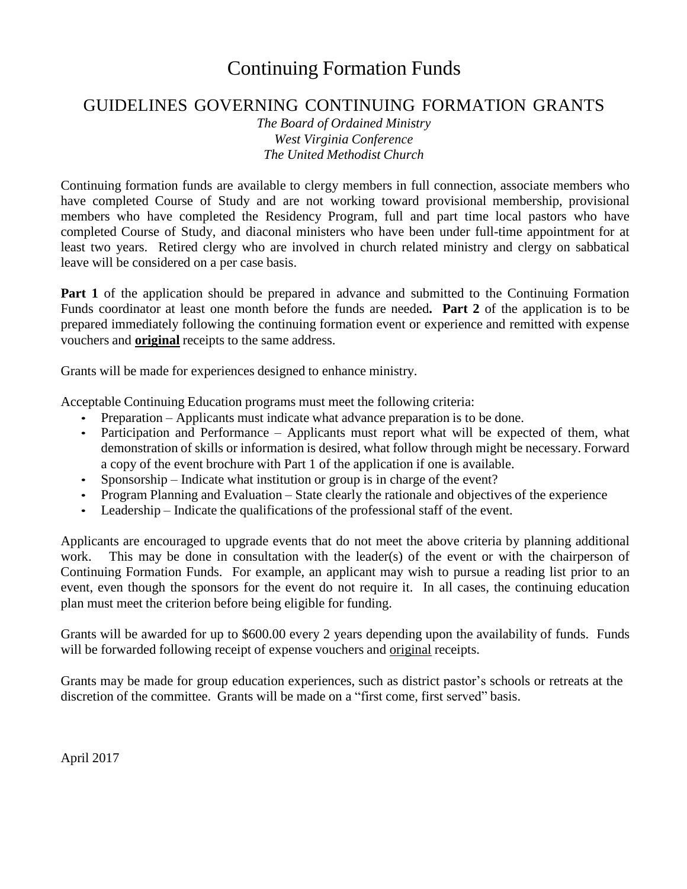# Continuing Formation Funds

### GUIDELINES GOVERNING CONTINUING FORMATION GRANTS

*The Board of Ordained Ministry West Virginia Conference The United Methodist Church*

Continuing formation funds are available to clergy members in full connection, associate members who have completed Course of Study and are not working toward provisional membership, provisional members who have completed the Residency Program, full and part time local pastors who have completed Course of Study, and diaconal ministers who have been under full-time appointment for at least two years. Retired clergy who are involved in church related ministry and clergy on sabbatical leave will be considered on a per case basis.

**Part 1** of the application should be prepared in advance and submitted to the Continuing Formation Funds coordinator at least one month before the funds are needed**. Part 2** of the application is to be prepared immediately following the continuing formation event or experience and remitted with expense vouchers and **original** receipts to the same address.

Grants will be made for experiences designed to enhance ministry.

Acceptable Continuing Education programs must meet the following criteria:

- Preparation Applicants must indicate what advance preparation is to be done.
- Participation and Performance Applicants must report what will be expected of them, what demonstration of skills or information is desired, what follow through might be necessary. Forward a copy of the event brochure with Part 1 of the application if one is available.
- Sponsorship Indicate what institution or group is in charge of the event?
- Program Planning and Evaluation State clearly the rationale and objectives of the experience
- Leadership Indicate the qualifications of the professional staff of the event.

Applicants are encouraged to upgrade events that do not meet the above criteria by planning additional work. This may be done in consultation with the leader(s) of the event or with the chairperson of Continuing Formation Funds. For example, an applicant may wish to pursue a reading list prior to an event, even though the sponsors for the event do not require it. In all cases, the continuing education plan must meet the criterion before being eligible for funding.

Grants will be awarded for up to \$600.00 every 2 years depending upon the availability of funds. Funds will be forwarded following receipt of expense vouchers and original receipts.

Grants may be made for group education experiences, such as district pastor's schools or retreats at the discretion of the committee. Grants will be made on a "first come, first served" basis.

April 2017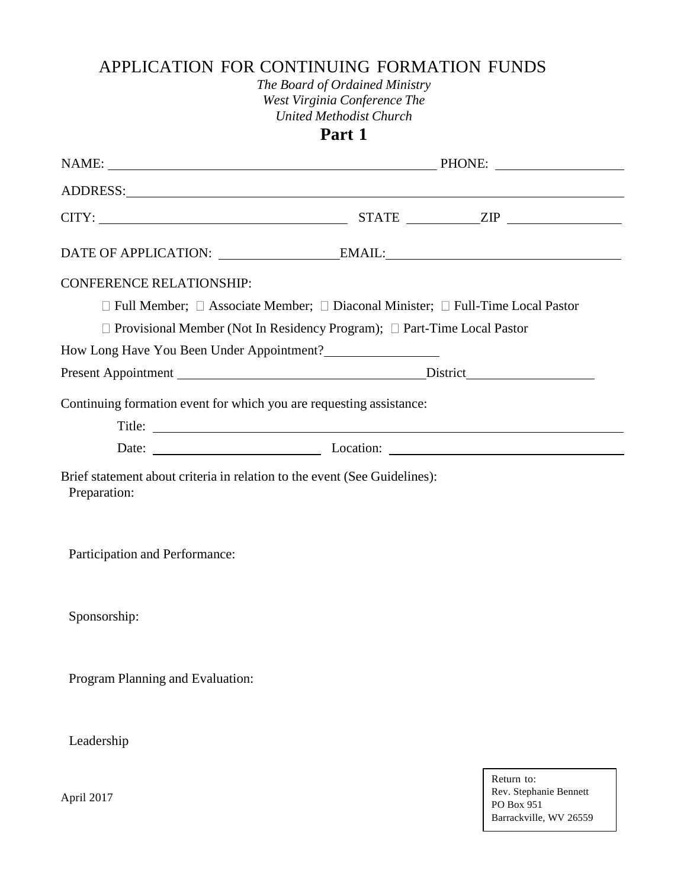## APPLICATION FOR CONTINUING FORMATION FUNDS

*The Board of Ordained Ministry West Virginia Conference The United Methodist Church*  **Part 1**

|                                                                                                                                                                                                                                | NAME: PHONE: PHONE:                                                                                  |  |
|--------------------------------------------------------------------------------------------------------------------------------------------------------------------------------------------------------------------------------|------------------------------------------------------------------------------------------------------|--|
| ADDRESS: North Contract of the Contract of the Contract of the Contract of the Contract of the Contract of the Contract of the Contract of the Contract of the Contract of the Contract of the Contract of the Contract of the |                                                                                                      |  |
|                                                                                                                                                                                                                                |                                                                                                      |  |
|                                                                                                                                                                                                                                |                                                                                                      |  |
| <b>CONFERENCE RELATIONSHIP:</b>                                                                                                                                                                                                |                                                                                                      |  |
|                                                                                                                                                                                                                                | $\Box$ Full Member; $\Box$ Associate Member; $\Box$ Diaconal Minister; $\Box$ Full-Time Local Pastor |  |
| $\Box$ Provisional Member (Not In Residency Program); $\Box$ Part-Time Local Pastor                                                                                                                                            |                                                                                                      |  |
| How Long Have You Been Under Appointment?                                                                                                                                                                                      |                                                                                                      |  |
|                                                                                                                                                                                                                                |                                                                                                      |  |
| Continuing formation event for which you are requesting assistance:                                                                                                                                                            |                                                                                                      |  |
|                                                                                                                                                                                                                                |                                                                                                      |  |
|                                                                                                                                                                                                                                |                                                                                                      |  |
| Brief statement about criteria in relation to the event (See Guidelines):<br>Preparation:                                                                                                                                      |                                                                                                      |  |
| Participation and Performance:                                                                                                                                                                                                 |                                                                                                      |  |
| Sponsorship:                                                                                                                                                                                                                   |                                                                                                      |  |
| Program Planning and Evaluation:                                                                                                                                                                                               |                                                                                                      |  |
| Leadership                                                                                                                                                                                                                     |                                                                                                      |  |

April 2017